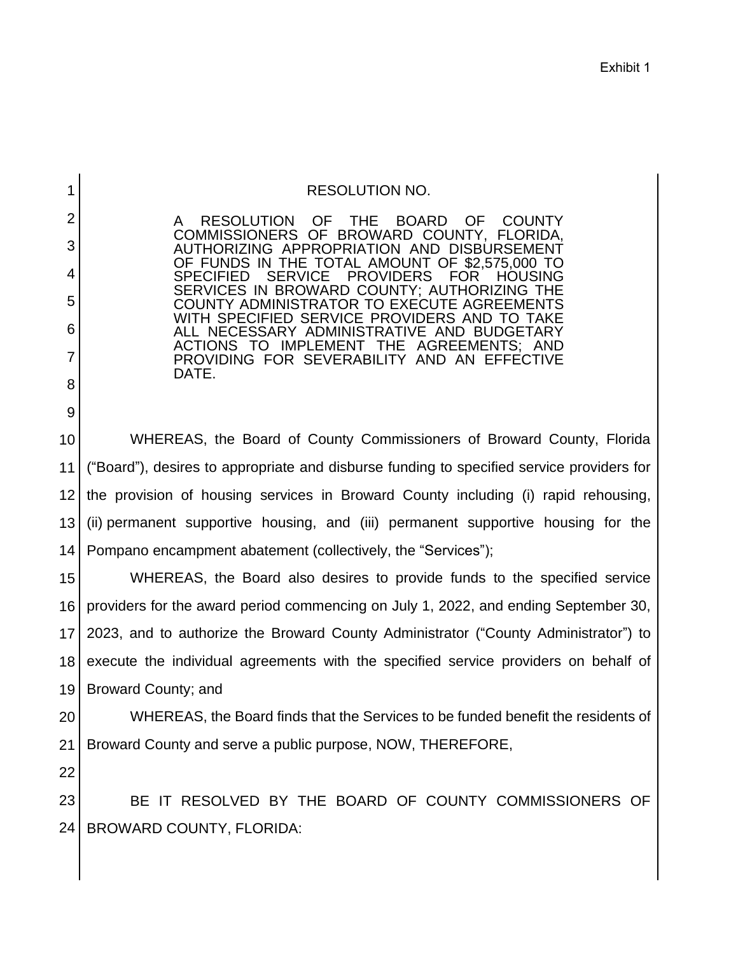| <b>RESOLUTION NO.</b> |  |
|-----------------------|--|
|-----------------------|--|

**THE**  OF FUNDS IN THE TOTAL AMOUNT OF \$2,575,000 TO PROVIDING FOR SEVERABILITY AND AN EFFECTIVE A RESOLUTION OF THE BOARD OF COUNTY COMMISSIONERS OF BROWARD COUNTY, FLORIDA, AUTHORIZING APPROPRIATION AND DISBURSEMENT SPECIFIED SERVICE PROVIDERS FOR HOUSING SERVICES IN BROWARD COUNTY; AUTHORIZING THE COUNTY ADMINISTRATOR TO EXECUTE AGREEMENTS WITH SPECIFIED SERVICE PROVIDERS AND TO TAKE ALL NECESSARY ADMINISTRATIVE AND BUDGETARY ACTIONS TO IMPLEMENT THE AGREEMENTS; AND DATE.

 WHEREAS, the Board of County Commissioners of Broward County, Florida ("Board"), desires to appropriate and disburse funding to specified service providers for the provision of housing services in Broward County including (i) rapid rehousing, 10 11 12 13 14 (ii) permanent supportive housing, and (iii) permanent supportive housing for the Pompano encampment abatement (collectively, the "Services");

 WHEREAS, the Board also desires to provide funds to the specified service providers for the award period commencing on July 1, 2022, and ending September 30, 2023, and to authorize the Broward County Administrator ("County Administrator") to execute the individual agreements with the specified service providers on behalf of 15 16 17 18 19 Broward County; and

 WHEREAS, the Board finds that the Services to be funded benefit the residents of 20 21 Broward County and serve a public purpose, NOW, THEREFORE,

22

1

2

3

4

5

6

7

8

9

 BE IT RESOLVED BY THE BOARD OF COUNTY COMMISSIONERS OF 23 24 BROWARD COUNTY, FLORIDA: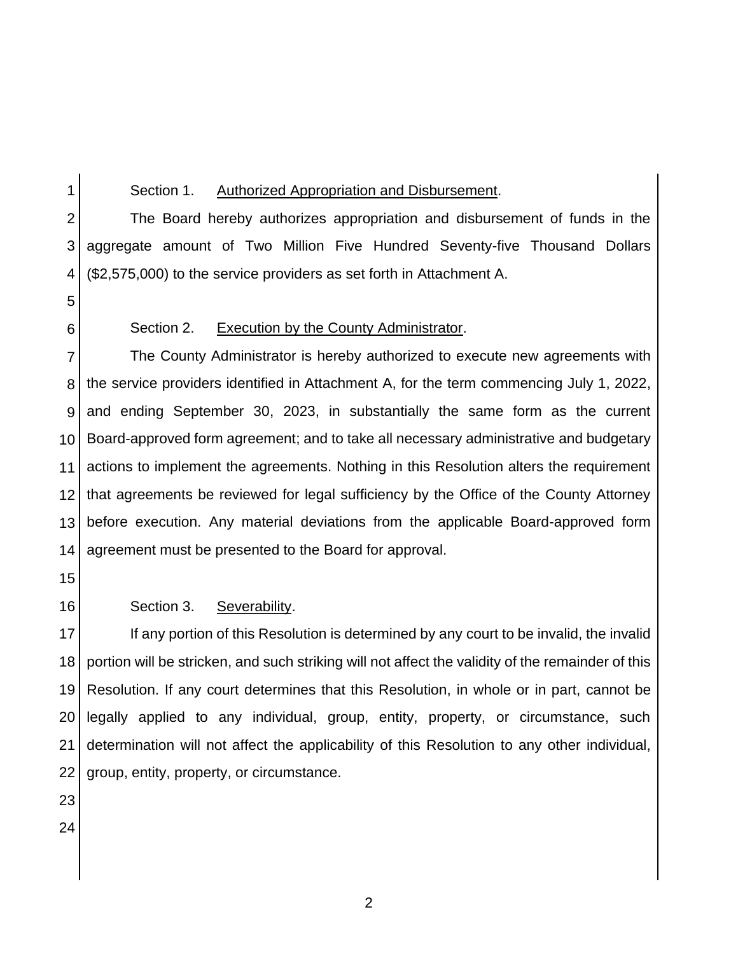1

2

4

5

### Section 1. Authorized Appropriation and Disbursement.

 The Board hereby authorizes appropriation and disbursement of funds in the aggregate amount of Two Million Five Hundred Seventy-five Thousand Dollars 3 (\$2,575,000) to the service providers as set forth in Attachment A.

6

## Section 2. Execution by the County Administrator.

 The County Administrator is hereby authorized to execute new agreements with the service providers identified in Attachment A, for the term commencing July 1, 2022, and ending September 30, 2023, in substantially the same form as the current Board-approved form agreement; and to take all necessary administrative and budgetary actions to implement the agreements. Nothing in this Resolution alters the requirement that agreements be reviewed for legal sufficiency by the Office of the County Attorney before execution. Any material deviations from the applicable Board-approved form agreement must be presented to the Board for approval. 7 8 9 10 11 12 13 14

15

16

# Section 3. Severability.

 If any portion of this Resolution is determined by any court to be invalid, the invalid portion will be stricken, and such striking will not affect the validity of the remainder of this Resolution. If any court determines that this Resolution, in whole or in part, cannot be legally applied to any individual, group, entity, property, or circumstance, such determination will not affect the applicability of this Resolution to any other individual, 17 18 19 20 21 22 group, entity, property, or circumstance.

- 23
- 24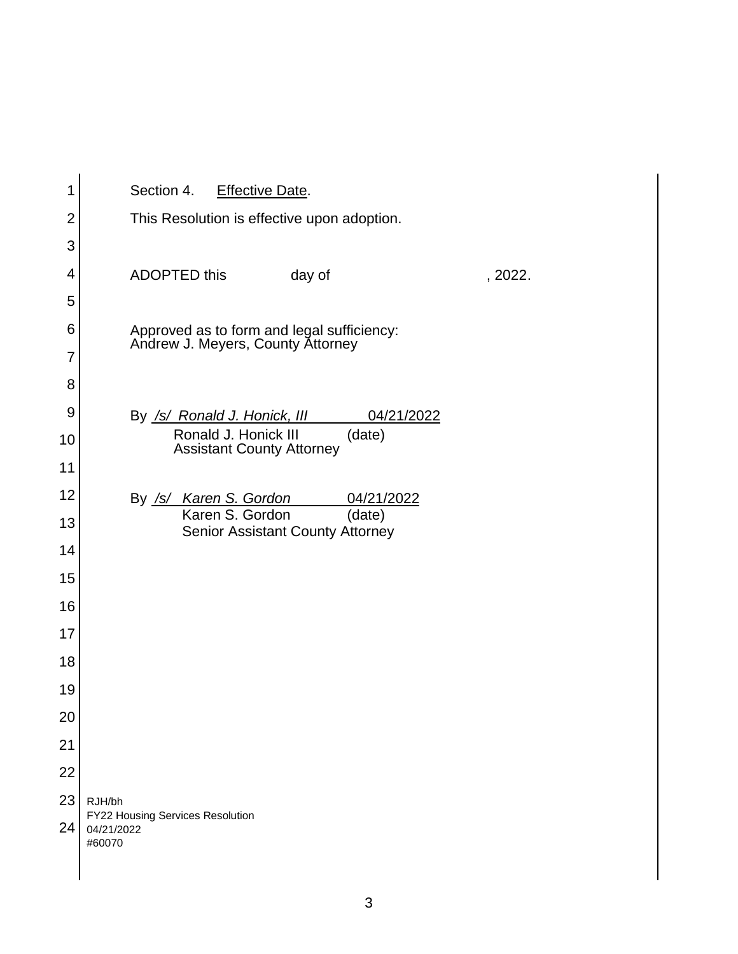| 1              | Section 4.<br><b>Effective Date.</b>                                 |  |  |  |  |  |  |
|----------------|----------------------------------------------------------------------|--|--|--|--|--|--|
| $\overline{2}$ | This Resolution is effective upon adoption.                          |  |  |  |  |  |  |
| 3              |                                                                      |  |  |  |  |  |  |
| 4              | <b>ADOPTED this</b><br>day of                                        |  |  |  |  |  |  |
| 5              |                                                                      |  |  |  |  |  |  |
| 6              | Approved as to form and legal sufficiency:                           |  |  |  |  |  |  |
| 7              | Andrew J. Meyers, County Attorney                                    |  |  |  |  |  |  |
| 8              |                                                                      |  |  |  |  |  |  |
| 9              | 04/21/2022<br>By <u>/s/ Ronald J. Honick, III</u>                    |  |  |  |  |  |  |
| 10             | Ronald J. Honick III<br>(date)<br><b>Assistant County Attorney</b>   |  |  |  |  |  |  |
| 11             |                                                                      |  |  |  |  |  |  |
| 12             | By /s/ Karen S. Gordon<br>04/21/2022                                 |  |  |  |  |  |  |
| 13             | Karen S. Gordon<br>(date)<br><b>Senior Assistant County Attorney</b> |  |  |  |  |  |  |
| 14             |                                                                      |  |  |  |  |  |  |
| 15             |                                                                      |  |  |  |  |  |  |
| 16             |                                                                      |  |  |  |  |  |  |
| 17             |                                                                      |  |  |  |  |  |  |
| 18             |                                                                      |  |  |  |  |  |  |
| 19             |                                                                      |  |  |  |  |  |  |
| 20             |                                                                      |  |  |  |  |  |  |
| 21             |                                                                      |  |  |  |  |  |  |
| 22             |                                                                      |  |  |  |  |  |  |
| 23             | RJH/bh                                                               |  |  |  |  |  |  |
| 24             | FY22 Housing Services Resolution<br>04/21/2022<br>#60070             |  |  |  |  |  |  |

2022.